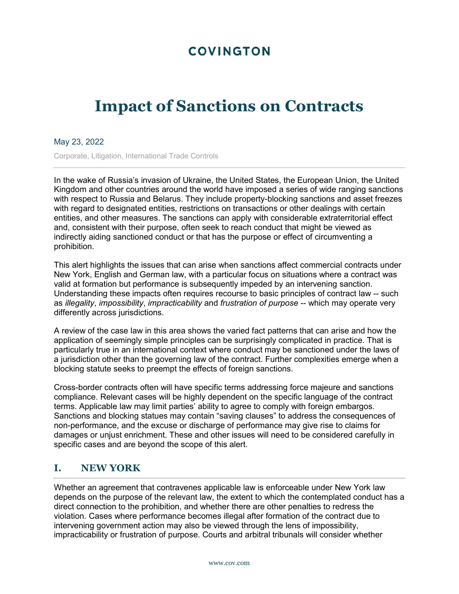# **COVINGTON**

# **Impact of Sanctions on Contracts**

#### May 23, 2022

Corporate, Litigation, International Trade Controls

In the wake of Russia's invasion of Ukraine, the United States, the European Union, the United Kingdom and other countries around the world have imposed a series of wide ranging sanctions with respect to Russia and Belarus. They include property-blocking sanctions and asset freezes with regard to designated entities, restrictions on transactions or other dealings with certain entities, and other measures. The sanctions can apply with considerable extraterritorial effect and, consistent with their purpose, often seek to reach conduct that might be viewed as indirectly aiding sanctioned conduct or that has the purpose or effect of circumventing a prohibition.

This alert highlights the issues that can arise when sanctions affect commercial contracts under New York, English and German law, with a particular focus on situations where a contract was valid at formation but performance is subsequently impeded by an intervening sanction. Understanding these impacts often requires recourse to basic principles of contract law -- such as *illegality*, *impossibility*, *impracticability* and *frustration of purpose* -- which may operate very differently across jurisdictions.

A review of the case law in this area shows the varied fact patterns that can arise and how the application of seemingly simple principles can be surprisingly complicated in practice. That is particularly true in an international context where conduct may be sanctioned under the laws of a jurisdiction other than the governing law of the contract. Further complexities emerge when a blocking statute seeks to preempt the effects of foreign sanctions.

Cross-border contracts often will have specific terms addressing force majeure and sanctions compliance. Relevant cases will be highly dependent on the specific language of the contract terms. Applicable law may limit parties' ability to agree to comply with foreign embargos. Sanctions and blocking statues may contain "saving clauses" to address the consequences of non-performance, and the excuse or discharge of performance may give rise to claims for damages or unjust enrichment. These and other issues will need to be considered carefully in specific cases and are beyond the scope of this alert.

# **I. NEW YORK**

Whether an agreement that contravenes applicable law is enforceable under New York law depends on the purpose of the relevant law, the extent to which the contemplated conduct has a direct connection to the prohibition, and whether there are other penalties to redress the violation. Cases where performance becomes illegal after formation of the contract due to intervening government action may also be viewed through the lens of impossibility, impracticability or frustration of purpose. Courts and arbitral tribunals will consider whether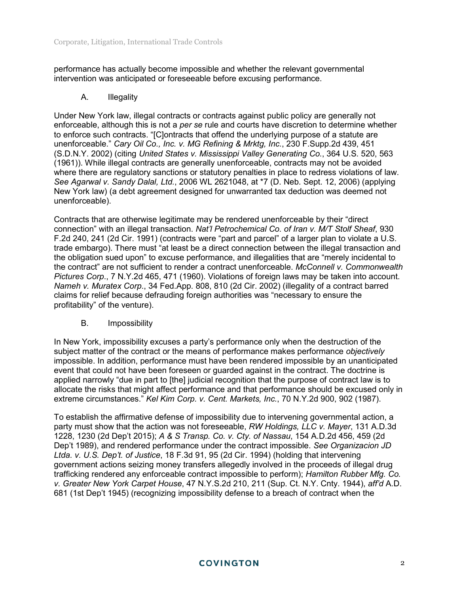performance has actually become impossible and whether the relevant governmental intervention was anticipated or foreseeable before excusing performance.

#### A. Illegality

Under New York law, illegal contracts or contracts against public policy are generally not enforceable, although this is not a *per se* rule and courts have discretion to determine whether to enforce such contracts. "[C]ontracts that offend the underlying purpose of a statute are unenforceable." *Cary Oil Co., Inc. v. MG Refining & Mrktg, Inc.*, 230 F.Supp.2d 439, 451 (S.D.N.Y. 2002) (citing *United States v. Mississippi Valley Generating Co.*, 364 U.S. 520, 563 (1961)). While illegal contracts are generally unenforceable, contracts may not be avoided where there are regulatory sanctions or statutory penalties in place to redress violations of law. *See Agarwal v. Sandy Dalal, Ltd.*, 2006 WL 2621048, at \*7 (D. Neb. Sept. 12, 2006) (applying New York law) (a debt agreement designed for unwarranted tax deduction was deemed not unenforceable).

Contracts that are otherwise legitimate may be rendered unenforceable by their "direct connection" with an illegal transaction. *Nat'l Petrochemical Co. of Iran v. M/T Stolf Sheaf*, 930 F.2d 240, 241 (2d Cir. 1991) (contracts were "part and parcel" of a larger plan to violate a U.S. trade embargo). There must "at least be a direct connection between the illegal transaction and the obligation sued upon" to excuse performance, and illegalities that are "merely incidental to the contract" are not sufficient to render a contract unenforceable. *McConnell v. Commonwealth Pictures Corp*., 7 N.Y.2d 465, 471 (1960). Violations of foreign laws may be taken into account. *Nameh v. Muratex Corp*., 34 Fed.App. 808, 810 (2d Cir. 2002) (illegality of a contract barred claims for relief because defrauding foreign authorities was "necessary to ensure the profitability" of the venture).

#### B. Impossibility

In New York, impossibility excuses a party's performance only when the destruction of the subject matter of the contract or the means of performance makes performance *objectively* impossible. In addition, performance must have been rendered impossible by an unanticipated event that could not have been foreseen or guarded against in the contract. The doctrine is applied narrowly "due in part to [the] judicial recognition that the purpose of contract law is to allocate the risks that might affect performance and that performance should be excused only in extreme circumstances." *Kel Kim Corp. v. Cent. Markets, Inc.*, 70 N.Y.2d 900, 902 (1987).

To establish the affirmative defense of impossibility due to intervening governmental action, a party must show that the action was not foreseeable, *RW Holdings, LLC v. Mayer*, 131 A.D.3d 1228, 1230 (2d Dep't 2015); *A & S Transp. Co. v. Cty. of Nassau*, 154 A.D.2d 456, 459 (2d Dep't 1989), and rendered performance under the contract impossible. *See Organizacion JD Ltda. v. U.S. Dep't. of Justice*, 18 F.3d 91, 95 (2d Cir. 1994) (holding that intervening government actions seizing money transfers allegedly involved in the proceeds of illegal drug trafficking rendered any enforceable contract impossible to perform); *Hamilton Rubber Mfg. Co. v. Greater New York Carpet House*, 47 N.Y.S.2d 210, 211 (Sup. Ct. N.Y. Cnty. 1944), *aff'd* A.D. 681 (1st Dep't 1945) (recognizing impossibility defense to a breach of contract when the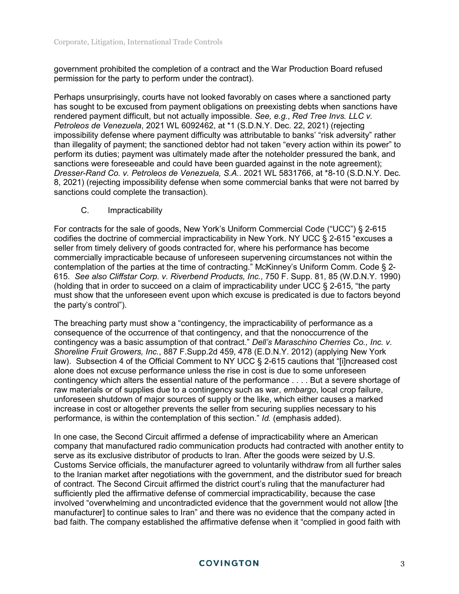government prohibited the completion of a contract and the War Production Board refused permission for the party to perform under the contract).

Perhaps unsurprisingly, courts have not looked favorably on cases where a sanctioned party has sought to be excused from payment obligations on preexisting debts when sanctions have rendered payment difficult, but not actually impossible. *See, e.g.*, *Red Tree Invs. LLC v. Petroleos de Venezuela*, 2021 WL 6092462, at \*1 (S.D.N.Y. Dec. 22, 2021) (rejecting impossibility defense where payment difficulty was attributable to banks' "risk adversity" rather than illegality of payment; the sanctioned debtor had not taken "every action within its power" to perform its duties; payment was ultimately made after the noteholder pressured the bank, and sanctions were foreseeable and could have been guarded against in the note agreement); *Dresser-Rand Co. v. Petroleos de Venezuela, S.A.*. 2021 WL 5831766, at \*8-10 (S.D.N.Y. Dec. 8, 2021) (rejecting impossibility defense when some commercial banks that were not barred by sanctions could complete the transaction).

#### C. Impracticability

For contracts for the sale of goods, New York's Uniform Commercial Code ("UCC") § 2-615 codifies the doctrine of commercial impracticability in New York. NY UCC § 2-615 "excuses a seller from timely delivery of goods contracted for, where his performance has become commercially impracticable because of unforeseen supervening circumstances not within the contemplation of the parties at the time of contracting." McKinney's Uniform Comm. Code § 2- 615. *See also Cliffstar Corp. v. Riverbend Products, Inc.*, 750 F. Supp. 81, 85 (W.D.N.Y. 1990) (holding that in order to succeed on a claim of impracticability under UCC § 2-615, "the party must show that the unforeseen event upon which excuse is predicated is due to factors beyond the party's control").

The breaching party must show a "contingency, the impracticability of performance as a consequence of the occurrence of that contingency, and that the nonoccurrence of the contingency was a basic assumption of that contract." *Dell's Maraschino Cherries Co., Inc. v. Shoreline Fruit Growers, Inc.*, 887 F.Supp.2d 459, 478 (E.D.N.Y. 2012) (applying New York law). Subsection 4 of the Official Comment to NY UCC § 2-615 cautions that "[i]ncreased cost alone does not excuse performance unless the rise in cost is due to some unforeseen contingency which alters the essential nature of the performance . . . . But a severe shortage of raw materials or of supplies due to a contingency such as war, *embargo*, local crop failure, unforeseen shutdown of major sources of supply or the like, which either causes a marked increase in cost or altogether prevents the seller from securing supplies necessary to his performance, is within the contemplation of this section." *Id.* (emphasis added).

In one case, the Second Circuit affirmed a defense of impracticability where an American company that manufactured radio communication products had contracted with another entity to serve as its exclusive distributor of products to Iran. After the goods were seized by U.S. Customs Service officials, the manufacturer agreed to voluntarily withdraw from all further sales to the Iranian market after negotiations with the government, and the distributor sued for breach of contract. The Second Circuit affirmed the district court's ruling that the manufacturer had sufficiently pled the affirmative defense of commercial impracticability, because the case involved "overwhelming and uncontradicted evidence that the government would not allow [the manufacturer] to continue sales to Iran" and there was no evidence that the company acted in bad faith. The company established the affirmative defense when it "complied in good faith with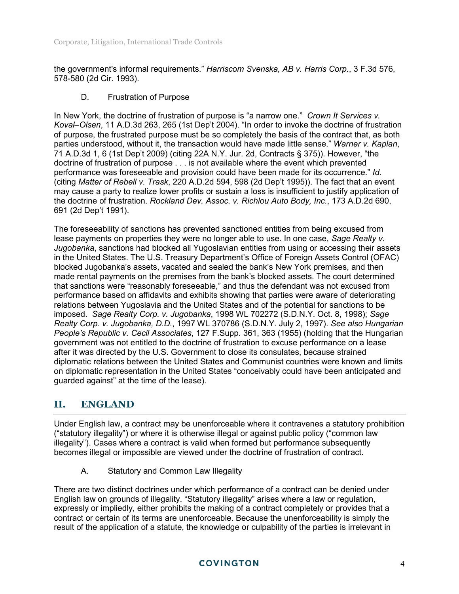the government's informal requirements." *Harriscom Svenska, AB v. Harris Corp.*, 3 F.3d 576, 578-580 (2d Cir. 1993).

#### D. Frustration of Purpose

In New York, the doctrine of frustration of purpose is "a narrow one." *Crown It Services v. Koval–Olsen*, 11 A.D.3d 263, 265 (1st Dep't 2004). "In order to invoke the doctrine of frustration of purpose, the frustrated purpose must be so completely the basis of the contract that, as both parties understood, without it, the transaction would have made little sense." *Warner v. Kaplan*, 71 A.D.3d 1, 6 (1st Dep't 2009) (citing 22A N.Y. Jur. 2d, Contracts § 375)). However, "the doctrine of frustration of purpose . . . is not available where the event which prevented performance was foreseeable and provision could have been made for its occurrence." *Id.* (citing *Matter of Rebell v. Trask*, 220 A.D.2d 594, 598 (2d Dep't 1995)). The fact that an event may cause a party to realize lower profits or sustain a loss is insufficient to justify application of the doctrine of frustration. *Rockland Dev. Assoc. v. Richlou Auto Body, Inc.*, 173 A.D.2d 690, 691 (2d Dep't 1991).

The foreseeability of sanctions has prevented sanctioned entities from being excused from lease payments on properties they were no longer able to use. In one case, *Sage Realty v. Jugobanka*, sanctions had blocked all Yugoslavian entities from using or accessing their assets in the United States. The U.S. Treasury Department's Office of Foreign Assets Control (OFAC) blocked Jugobanka's assets, vacated and sealed the bank's New York premises, and then made rental payments on the premises from the bank's blocked assets. The court determined that sanctions were "reasonably foreseeable," and thus the defendant was not excused from performance based on affidavits and exhibits showing that parties were aware of deteriorating relations between Yugoslavia and the United States and of the potential for sanctions to be imposed. *Sage Realty Corp. v. Jugobanka*, 1998 WL 702272 (S.D.N.Y. Oct. 8, 1998); *Sage Realty Corp. v. Jugobanka, D.D.*, 1997 WL 370786 (S.D.N.Y. July 2, 1997). *See also Hungarian People's Republic v. Cecil Associates*, 127 F.Supp. 361, 363 (1955) (holding that the Hungarian government was not entitled to the doctrine of frustration to excuse performance on a lease after it was directed by the U.S. Government to close its consulates, because strained diplomatic relations between the United States and Communist countries were known and limits on diplomatic representation in the United States "conceivably could have been anticipated and guarded against" at the time of the lease).

# **II. ENGLAND**

Under English law, a contract may be unenforceable where it contravenes a statutory prohibition ("statutory illegality") or where it is otherwise illegal or against public policy ("common law illegality"). Cases where a contract is valid when formed but performance subsequently becomes illegal or impossible are viewed under the doctrine of frustration of contract.

A. Statutory and Common Law Illegality

There are two distinct doctrines under which performance of a contract can be denied under English law on grounds of illegality. "Statutory illegality" arises where a law or regulation, expressly or impliedly, either prohibits the making of a contract completely or provides that a contract or certain of its terms are unenforceable. Because the unenforceability is simply the result of the application of a statute, the knowledge or culpability of the parties is irrelevant in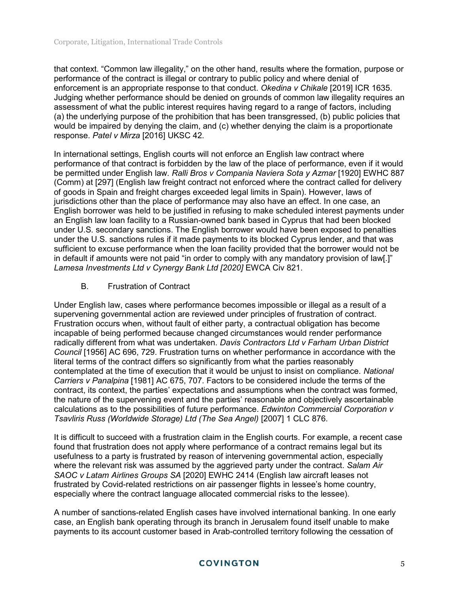that context. "Common law illegality," on the other hand, results where the formation, purpose or performance of the contract is illegal or contrary to public policy and where denial of enforcement is an appropriate response to that conduct. *Okedina v Chikale* [2019] ICR 1635. Judging whether performance should be denied on grounds of common law illegality requires an assessment of what the public interest requires having regard to a range of factors, including (a) the underlying purpose of the prohibition that has been transgressed, (b) public policies that would be impaired by denying the claim, and (c) whether denying the claim is a proportionate response. *Patel v Mirza* [2016] UKSC 42.

In international settings, English courts will not enforce an English law contract where performance of that contract is forbidden by the law of the place of performance, even if it would be permitted under English law. *Ralli Bros v Compania Naviera Sota y Azmar* [1920] EWHC 887 (Comm) at [297] (English law freight contract not enforced where the contract called for delivery of goods in Spain and freight charges exceeded legal limits in Spain). However, laws of jurisdictions other than the place of performance may also have an effect. In one case, an English borrower was held to be justified in refusing to make scheduled interest payments under an English law loan facility to a Russian-owned bank based in Cyprus that had been blocked under U.S. secondary sanctions. The English borrower would have been exposed to penalties under the U.S. sanctions rules if it made payments to its blocked Cyprus lender, and that was sufficient to excuse performance when the loan facility provided that the borrower would not be in default if amounts were not paid "in order to comply with any mandatory provision of law[.]" *Lamesa Investments Ltd v Cynergy Bank Ltd [2020]* EWCA Civ 821.

B. Frustration of Contract

Under English law, cases where performance becomes impossible or illegal as a result of a supervening governmental action are reviewed under principles of frustration of contract. Frustration occurs when, without fault of either party, a contractual obligation has become incapable of being performed because changed circumstances would render performance radically different from what was undertaken. *Davis Contractors Ltd v Farham Urban District Council* [1956] AC 696, 729. Frustration turns on whether performance in accordance with the literal terms of the contract differs so significantly from what the parties reasonably contemplated at the time of execution that it would be unjust to insist on compliance. *National Carriers v Panalpina* [1981] AC 675, 707. Factors to be considered include the terms of the contract, its context, the parties' expectations and assumptions when the contract was formed, the nature of the supervening event and the parties' reasonable and objectively ascertainable calculations as to the possibilities of future performance. *Edwinton Commercial Corporation v Tsavliris Russ (Worldwide Storage) Ltd (The Sea Angel)* [2007] 1 CLC 876.

It is difficult to succeed with a frustration claim in the English courts. For example, a recent case found that frustration does not apply where performance of a contract remains legal but its usefulness to a party is frustrated by reason of intervening governmental action, especially where the relevant risk was assumed by the aggrieved party under the contract. *Salam Air SAOC v Latam Airlines Groups SA* [2020] EWHC 2414 (English law aircraft leases not frustrated by Covid-related restrictions on air passenger flights in lessee's home country, especially where the contract language allocated commercial risks to the lessee).

A number of sanctions-related English cases have involved international banking. In one early case, an English bank operating through its branch in Jerusalem found itself unable to make payments to its account customer based in Arab-controlled territory following the cessation of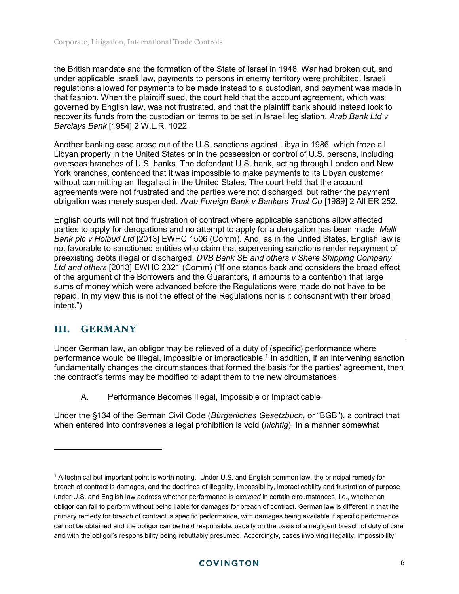the British mandate and the formation of the State of Israel in 1948. War had broken out, and under applicable Israeli law, payments to persons in enemy territory were prohibited. Israeli regulations allowed for payments to be made instead to a custodian, and payment was made in that fashion. When the plaintiff sued, the court held that the account agreement, which was governed by English law, was not frustrated, and that the plaintiff bank should instead look to recover its funds from the custodian on terms to be set in Israeli legislation. *Arab Bank Ltd v Barclays Bank* [1954] 2 W.L.R. 1022.

Another banking case arose out of the U.S. sanctions against Libya in 1986, which froze all Libyan property in the United States or in the possession or control of U.S. persons, including overseas branches of U.S. banks. The defendant U.S. bank, acting through London and New York branches, contended that it was impossible to make payments to its Libyan customer without committing an illegal act in the United States. The court held that the account agreements were not frustrated and the parties were not discharged, but rather the payment obligation was merely suspended. *Arab Foreign Bank v Bankers Trust Co* [1989] 2 All ER 252.

English courts will not find frustration of contract where applicable sanctions allow affected parties to apply for derogations and no attempt to apply for a derogation has been made. *Melli Bank plc v Holbud Ltd* [2013] EWHC 1506 (Comm). And, as in the United States, English law is not favorable to sanctioned entities who claim that supervening sanctions render repayment of preexisting debts illegal or discharged. *DVB Bank SE and others v Shere Shipping Company Ltd and others* [2013] EWHC 2321 (Comm) ("If one stands back and considers the broad effect of the argument of the Borrowers and the Guarantors, it amounts to a contention that large sums of money which were advanced before the Regulations were made do not have to be repaid. In my view this is not the effect of the Regulations nor is it consonant with their broad intent.")

# **III. GERMANY**

Under German law, an obligor may be relieved of a duty of (specific) performance where performance would be illegal, impossible or impracticable.<sup>1</sup> In addition, if an intervening sanction fundamentally changes the circumstances that formed the basis for the parties' agreement, then the contract's terms may be modified to adapt them to the new circumstances.

A. Performance Becomes Illegal, Impossible or Impracticable

Under the §134 of the German Civil Code (*Bürgerliches Gesetzbuch*, or "BGB"), a contract that when entered into contravenes a legal prohibition is void (*nichtig*). In a manner somewhat

<sup>1</sup> A technical but important point is worth noting. Under U.S. and English common law, the principal remedy for breach of contract is damages, and the doctrines of illegality, impossibility, impracticability and frustration of purpose under U.S. and English law address whether performance is *excused* in certain circumstances, i.e., whether an obligor can fail to perform without being liable for damages for breach of contract. German law is different in that the primary remedy for breach of contract is specific performance, with damages being available if specific performance cannot be obtained and the obligor can be held responsible, usually on the basis of a negligent breach of duty of care and with the obligor's responsibility being rebuttably presumed. Accordingly, cases involving illegality, impossibility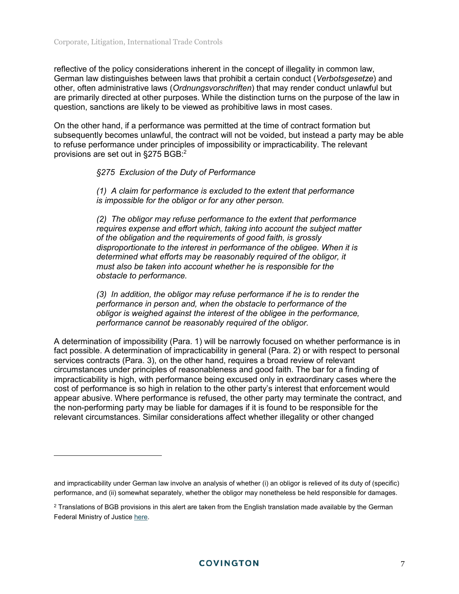$\overline{a}$ 

reflective of the policy considerations inherent in the concept of illegality in common law, German law distinguishes between laws that prohibit a certain conduct (*Verbotsgesetze*) and other, often administrative laws (*Ordnungsvorschriften*) that may render conduct unlawful but are primarily directed at other purposes. While the distinction turns on the purpose of the law in question, sanctions are likely to be viewed as prohibitive laws in most cases.

On the other hand, if a performance was permitted at the time of contract formation but subsequently becomes unlawful, the contract will not be voided, but instead a party may be able to refuse performance under principles of impossibility or impracticability. The relevant provisions are set out in §275 BGB:<sup>2</sup>

#### *§275 Exclusion of the Duty of Performance*

*(1) A claim for performance is excluded to the extent that performance is impossible for the obligor or for any other person.* 

*(2) The obligor may refuse performance to the extent that performance requires expense and effort which, taking into account the subject matter of the obligation and the requirements of good faith, is grossly disproportionate to the interest in performance of the obligee. When it is determined what efforts may be reasonably required of the obligor, it must also be taken into account whether he is responsible for the obstacle to performance.* 

*(3) In addition, the obligor may refuse performance if he is to render the performance in person and, when the obstacle to performance of the obligor is weighed against the interest of the obligee in the performance, performance cannot be reasonably required of the obligor.* 

A determination of impossibility (Para. 1) will be narrowly focused on whether performance is in fact possible. A determination of impracticability in general (Para. 2) or with respect to personal services contracts (Para. 3), on the other hand, requires a broad review of relevant circumstances under principles of reasonableness and good faith. The bar for a finding of impracticability is high, with performance being excused only in extraordinary cases where the cost of performance is so high in relation to the other party's interest that enforcement would appear abusive. Where performance is refused, the other party may terminate the contract, and the non-performing party may be liable for damages if it is found to be responsible for the relevant circumstances. Similar considerations affect whether illegality or other changed

and impracticability under German law involve an analysis of whether (i) an obligor is relieved of its duty of (specific) performance, and (ii) somewhat separately, whether the obligor may nonetheless be held responsible for damages.

 $^2$  Translations of BGB provisions in this alert are taken from the English translation made available by the German Federal Ministry of Justice [here.](http://www.gesetze-im-internet.de/englisch_bgb/)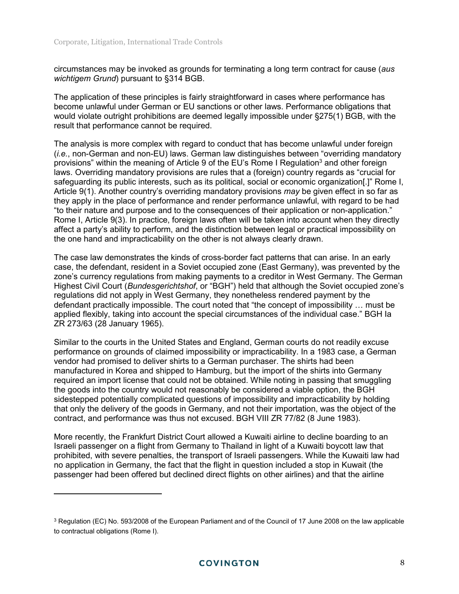$\overline{a}$ 

circumstances may be invoked as grounds for terminating a long term contract for cause (*aus wichtigem Grund*) pursuant to §314 BGB.

The application of these principles is fairly straightforward in cases where performance has become unlawful under German or EU sanctions or other laws. Performance obligations that would violate outright prohibitions are deemed legally impossible under §275(1) BGB, with the result that performance cannot be required.

The analysis is more complex with regard to conduct that has become unlawful under foreign (*i.e.*, non-German and non-EU) laws. German law distinguishes between "overriding mandatory provisions" within the meaning of Article 9 of the EU's Rome I Regulation<sup>3</sup> and other foreign laws. Overriding mandatory provisions are rules that a (foreign) country regards as "crucial for safeguarding its public interests, such as its political, social or economic organization[.]" Rome I, Article 9(1). Another country's overriding mandatory provisions *may* be given effect in so far as they apply in the place of performance and render performance unlawful, with regard to be had "to their nature and purpose and to the consequences of their application or non-application." Rome I, Article 9(3). In practice, foreign laws often will be taken into account when they directly affect a party's ability to perform, and the distinction between legal or practical impossibility on the one hand and impracticability on the other is not always clearly drawn.

The case law demonstrates the kinds of cross-border fact patterns that can arise. In an early case, the defendant, resident in a Soviet occupied zone (East Germany), was prevented by the zone's currency regulations from making payments to a creditor in West Germany. The German Highest Civil Court (*Bundesgerichtshof*, or "BGH") held that although the Soviet occupied zone's regulations did not apply in West Germany, they nonetheless rendered payment by the defendant practically impossible. The court noted that "the concept of impossibility … must be applied flexibly, taking into account the special circumstances of the individual case." BGH Ia ZR 273/63 (28 January 1965).

Similar to the courts in the United States and England, German courts do not readily excuse performance on grounds of claimed impossibility or impracticability. In a 1983 case, a German vendor had promised to deliver shirts to a German purchaser. The shirts had been manufactured in Korea and shipped to Hamburg, but the import of the shirts into Germany required an import license that could not be obtained. While noting in passing that smuggling the goods into the country would not reasonably be considered a viable option, the BGH sidestepped potentially complicated questions of impossibility and impracticability by holding that only the delivery of the goods in Germany, and not their importation, was the object of the contract, and performance was thus not excused. BGH VIII ZR 77/82 (8 June 1983).

More recently, the Frankfurt District Court allowed a Kuwaiti airline to decline boarding to an Israeli passenger on a flight from Germany to Thailand in light of a Kuwaiti boycott law that prohibited, with severe penalties, the transport of Israeli passengers. While the Kuwaiti law had no application in Germany, the fact that the flight in question included a stop in Kuwait (the passenger had been offered but declined direct flights on other airlines) and that the airline

 $^3$  Regulation (EC) No. 593/2008 of the European Parliament and of the Council of 17 June 2008 on the law applicable to contractual obligations (Rome I).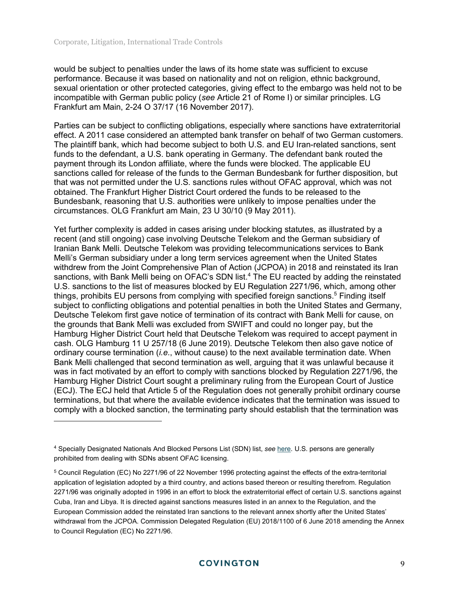$\overline{a}$ 

would be subject to penalties under the laws of its home state was sufficient to excuse performance. Because it was based on nationality and not on religion, ethnic background, sexual orientation or other protected categories, giving effect to the embargo was held not to be incompatible with German public policy (*see* Article 21 of Rome I) or similar principles. LG Frankfurt am Main, 2-24 O 37/17 (16 November 2017).

Parties can be subject to conflicting obligations, especially where sanctions have extraterritorial effect. A 2011 case considered an attempted bank transfer on behalf of two German customers. The plaintiff bank, which had become subject to both U.S. and EU Iran-related sanctions, sent funds to the defendant, a U.S. bank operating in Germany. The defendant bank routed the payment through its London affiliate, where the funds were blocked. The applicable EU sanctions called for release of the funds to the German Bundesbank for further disposition, but that was not permitted under the U.S. sanctions rules without OFAC approval, which was not obtained. The Frankfurt Higher District Court ordered the funds to be released to the Bundesbank, reasoning that U.S. authorities were unlikely to impose penalties under the circumstances. OLG Frankfurt am Main, 23 U 30/10 (9 May 2011).

Yet further complexity is added in cases arising under blocking statutes, as illustrated by a recent (and still ongoing) case involving Deutsche Telekom and the German subsidiary of Iranian Bank Melli. Deutsche Telekom was providing telecommunications services to Bank Melli's German subsidiary under a long term services agreement when the United States withdrew from the Joint Comprehensive Plan of Action (JCPOA) in 2018 and reinstated its Iran sanctions, with Bank Melli being on OFAC's SDN list.<sup>4</sup> The EU reacted by adding the reinstated U.S. sanctions to the list of measures blocked by EU Regulation 2271/96, which, among other things, prohibits EU persons from complying with specified foreign sanctions.<sup>5</sup> Finding itself subject to conflicting obligations and potential penalties in both the United States and Germany, Deutsche Telekom first gave notice of termination of its contract with Bank Melli for cause, on the grounds that Bank Melli was excluded from SWIFT and could no longer pay, but the Hamburg Higher District Court held that Deutsche Telekom was required to accept payment in cash. OLG Hamburg 11 U 257/18 (6 June 2019). Deutsche Telekom then also gave notice of ordinary course termination (*i.e*., without cause) to the next available termination date. When Bank Melli challenged that second termination as well, arguing that it was unlawful because it was in fact motivated by an effort to comply with sanctions blocked by Regulation 2271/96, the Hamburg Higher District Court sought a preliminary ruling from the European Court of Justice (ECJ). The ECJ held that Article 5 of the Regulation does not generally prohibit ordinary course terminations, but that where the available evidence indicates that the termination was issued to comply with a blocked sanction, the terminating party should establish that the termination was

<sup>4</sup> Specially Designated Nationals And Blocked Persons List (SDN) list, *see* [here.](https://home.treasury.gov/policy-issues/financial-sanctions/specially-designated-nationals-and-blocked-persons-list-sdn-human-readable-lists) U.S. persons are generally prohibited from dealing with SDNs absent OFAC licensing.

<sup>5</sup> Council Regulation (EC) No 2271/96 of 22 November 1996 protecting against the effects of the extra-territorial application of legislation adopted by a third country, and actions based thereon or resulting therefrom. Regulation 2271/96 was originally adopted in 1996 in an effort to block the extraterritorial effect of certain U.S. sanctions against Cuba, Iran and Libya. It is directed against sanctions measures listed in an annex to the Regulation, and the European Commission added the reinstated Iran sanctions to the relevant annex shortly after the United States' withdrawal from the JCPOA. Commission Delegated Regulation (EU) 2018/1100 of 6 June 2018 amending the Annex to Council Regulation (EC) No 2271/96.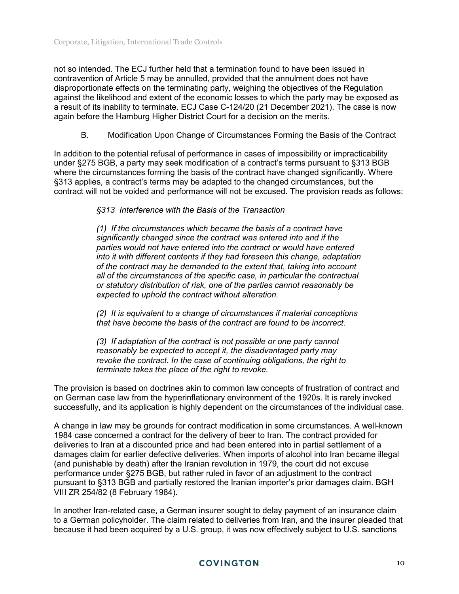not so intended. The ECJ further held that a termination found to have been issued in contravention of Article 5 may be annulled, provided that the annulment does not have disproportionate effects on the terminating party, weighing the objectives of the Regulation against the likelihood and extent of the economic losses to which the party may be exposed as a result of its inability to terminate. ECJ Case C-124/20 (21 December 2021). The case is now again before the Hamburg Higher District Court for a decision on the merits.

B. Modification Upon Change of Circumstances Forming the Basis of the Contract

In addition to the potential refusal of performance in cases of impossibility or impracticability under §275 BGB, a party may seek modification of a contract's terms pursuant to §313 BGB where the circumstances forming the basis of the contract have changed significantly. Where §313 applies, a contract's terms may be adapted to the changed circumstances, but the contract will not be voided and performance will not be excused. The provision reads as follows:

*§313 Interference with the Basis of the Transaction* 

*(1) If the circumstances which became the basis of a contract have significantly changed since the contract was entered into and if the parties would not have entered into the contract or would have entered into it with different contents if they had foreseen this change, adaptation of the contract may be demanded to the extent that, taking into account all of the circumstances of the specific case, in particular the contractual or statutory distribution of risk, one of the parties cannot reasonably be expected to uphold the contract without alteration.* 

*(2) It is equivalent to a change of circumstances if material conceptions that have become the basis of the contract are found to be incorrect.* 

*(3) If adaptation of the contract is not possible or one party cannot reasonably be expected to accept it, the disadvantaged party may revoke the contract. In the case of continuing obligations, the right to terminate takes the place of the right to revoke.* 

The provision is based on doctrines akin to common law concepts of frustration of contract and on German case law from the hyperinflationary environment of the 1920s. It is rarely invoked successfully, and its application is highly dependent on the circumstances of the individual case.

A change in law may be grounds for contract modification in some circumstances. A well-known 1984 case concerned a contract for the delivery of beer to Iran. The contract provided for deliveries to Iran at a discounted price and had been entered into in partial settlement of a damages claim for earlier defective deliveries. When imports of alcohol into Iran became illegal (and punishable by death) after the Iranian revolution in 1979, the court did not excuse performance under §275 BGB, but rather ruled in favor of an adjustment to the contract pursuant to §313 BGB and partially restored the Iranian importer's prior damages claim. BGH VIII ZR 254/82 (8 February 1984).

In another Iran-related case, a German insurer sought to delay payment of an insurance claim to a German policyholder. The claim related to deliveries from Iran, and the insurer pleaded that because it had been acquired by a U.S. group, it was now effectively subject to U.S. sanctions